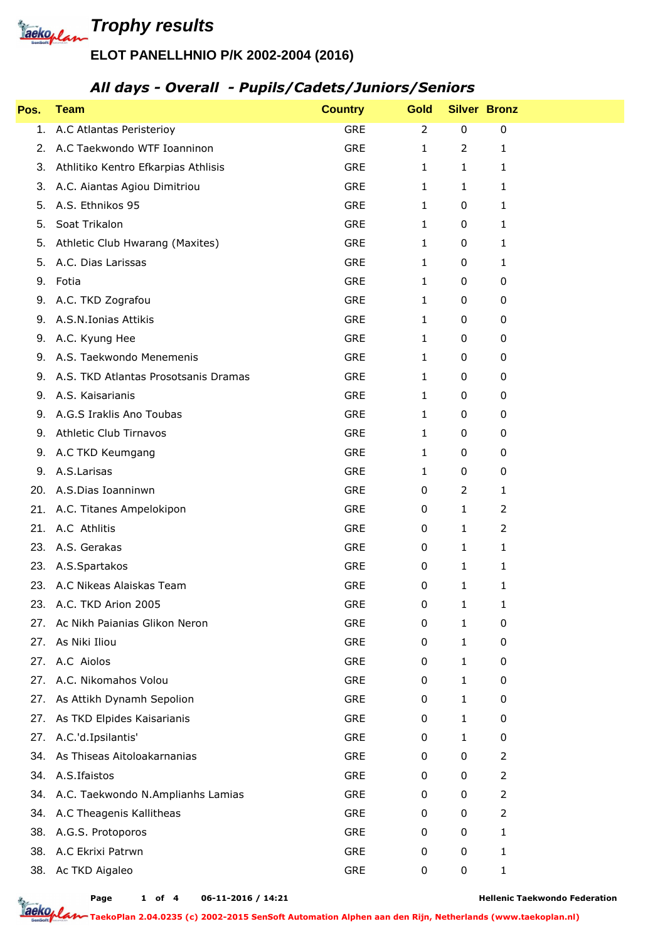**Trophy results** 

## **ELOT PANELLHNIO P/K 2002-2004 (2016)**

#### *All days - Overall - Pupils/Cadets/Juniors/Seniors*

| Pos. | <b>Team</b>                          | <b>Country</b> | <b>Gold</b>    |                | <b>Silver Bronz</b> |
|------|--------------------------------------|----------------|----------------|----------------|---------------------|
| 1.   | A.C Atlantas Peristerioy             | <b>GRE</b>     | $\overline{2}$ | $\pmb{0}$      | $\pmb{0}$           |
| 2.   | A.C Taekwondo WTF Ioanninon          | <b>GRE</b>     | 1              | $\overline{2}$ | 1                   |
| 3.   | Athlitiko Kentro Efkarpias Athlisis  | <b>GRE</b>     | $\mathbf{1}$   | $\mathbf{1}$   | 1                   |
| 3.   | A.C. Aiantas Agiou Dimitriou         | <b>GRE</b>     | 1              | $\mathbf{1}$   | $\mathbf{1}$        |
| 5.   | A.S. Ethnikos 95                     | <b>GRE</b>     | 1              | 0              | 1                   |
| 5.   | Soat Trikalon                        | <b>GRE</b>     | 1              | 0              | 1                   |
| 5.   | Athletic Club Hwarang (Maxites)      | <b>GRE</b>     | 1              | 0              | 1                   |
| 5.   | A.C. Dias Larissas                   | <b>GRE</b>     | 1              | 0              | 1                   |
| 9.   | Fotia                                | <b>GRE</b>     | 1              | 0              | 0                   |
| 9.   | A.C. TKD Zografou                    | <b>GRE</b>     | 1              | 0              | 0                   |
| 9.   | A.S.N.Ionias Attikis                 | <b>GRE</b>     | 1              | 0              | 0                   |
| 9.   | A.C. Kyung Hee                       | <b>GRE</b>     | 1              | 0              | 0                   |
| 9.   | A.S. Taekwondo Menemenis             | <b>GRE</b>     | 1              | 0              | 0                   |
| 9.   | A.S. TKD Atlantas Prosotsanis Dramas | <b>GRE</b>     | 1              | 0              | 0                   |
| 9.   | A.S. Kaisarianis                     | <b>GRE</b>     | 1              | 0              | 0                   |
| 9.   | A.G.S Iraklis Ano Toubas             | <b>GRE</b>     | 1              | 0              | 0                   |
| 9.   | <b>Athletic Club Tirnavos</b>        | <b>GRE</b>     | 1              | 0              | 0                   |
| 9.   | A.C TKD Keumgang                     | <b>GRE</b>     | 1              | 0              | $\pmb{0}$           |
| 9.   | A.S.Larisas                          | <b>GRE</b>     | $\mathbf{1}$   | $\pmb{0}$      | 0                   |
| 20.  | A.S.Dias Ioanninwn                   | <b>GRE</b>     | 0              | $\overline{2}$ | 1                   |
| 21.  | A.C. Titanes Ampelokipon             | <b>GRE</b>     | 0              | 1              | 2                   |
| 21.  | A.C Athlitis                         | <b>GRE</b>     | 0              | 1              | $\overline{2}$      |
| 23.  | A.S. Gerakas                         | <b>GRE</b>     | 0              | $\mathbf{1}$   | $\mathbf{1}$        |
| 23.  | A.S.Spartakos                        | <b>GRE</b>     | $\pmb{0}$      | 1              | 1                   |
|      | 23. A.C Nikeas Alaiskas Team         | GRE            | 0              | 1              | $\mathbf{1}$        |
| 23.  | A.C. TKD Arion 2005                  | <b>GRE</b>     | 0              | 1              | 1                   |
| 27.  | Ac Nikh Paianias Glikon Neron        | <b>GRE</b>     | 0              | 1              | 0                   |
| 27.  | As Niki Iliou                        | GRE            | 0              | 1              | 0                   |
| 27.  | A.C Aiolos                           | <b>GRE</b>     | 0              | 1              | 0                   |
| 27.  | A.C. Nikomahos Volou                 | <b>GRE</b>     | 0              | 1              | 0                   |
| 27.  | As Attikh Dynamh Sepolion            | GRE            | 0              | 1              | 0                   |
| 27.  | As TKD Elpides Kaisarianis           | <b>GRE</b>     | 0              | 1              | 0                   |
| 27.  | A.C.'d.Ipsilantis'                   | GRE            | 0              | 1              | 0                   |
| 34.  | As Thiseas Aitoloakarnanias          | GRE            | 0              | 0              | 2                   |
| 34.  | A.S.Ifaistos                         | <b>GRE</b>     | 0              | 0              | 2                   |
| 34.  | A.C. Taekwondo N.Amplianhs Lamias    | GRE            | 0              | $\pmb{0}$      | 2                   |
| 34.  | A.C Theagenis Kallitheas             | GRE            | 0              | 0              | 2                   |
| 38.  | A.G.S. Protoporos                    | <b>GRE</b>     | 0              | 0              | 1                   |
| 38.  | A.C Ekrixi Patrwn                    | GRE            | 0              | 0              | 1                   |
| 38.  | Ac TKD Aigaleo                       | GRE            | 0              | 0              | $\mathbf{1}$        |

**Page of 4 06-11-2016 / 14:21 1**

**Hellenic Taekwondo Federation**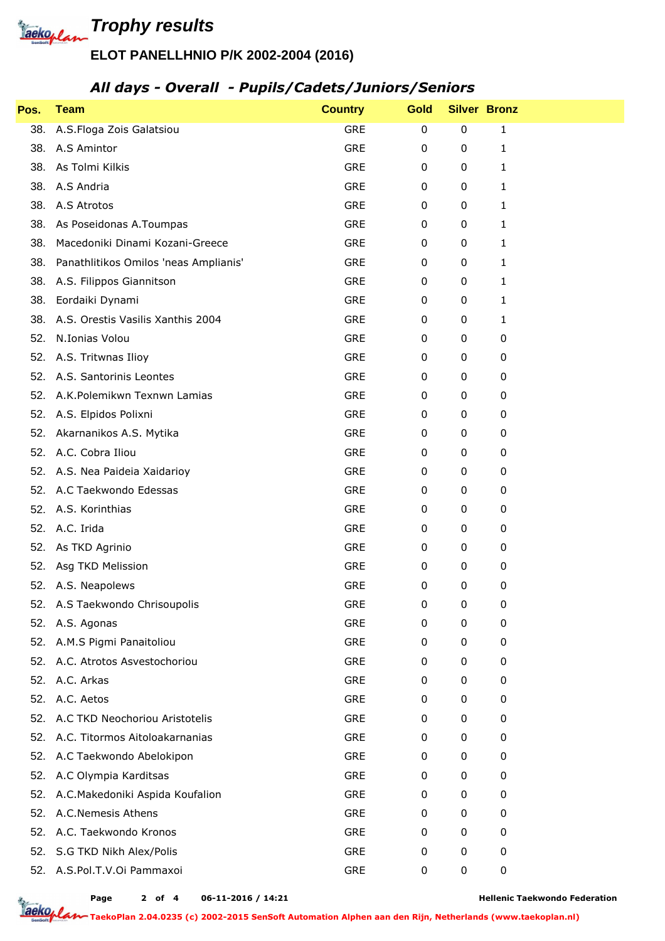

# **ELOT PANELLHNIO P/K 2002-2004 (2016)**

### *All days - Overall - Pupils/Cadets/Juniors/Seniors*

| Pos. | <b>Team</b>                           | <b>Country</b> | <b>Gold</b> | <b>Silver Bronz</b> |              |  |
|------|---------------------------------------|----------------|-------------|---------------------|--------------|--|
| 38.  | A.S.Floga Zois Galatsiou              | <b>GRE</b>     | $\pmb{0}$   | $\boldsymbol{0}$    | 1            |  |
| 38.  | A.S Amintor                           | <b>GRE</b>     | 0           | 0                   | 1            |  |
| 38.  | As Tolmi Kilkis                       | <b>GRE</b>     | 0           | 0                   | 1            |  |
| 38.  | A.S Andria                            | <b>GRE</b>     | 0           | 0                   | $\mathbf{1}$ |  |
| 38.  | A.S Atrotos                           | <b>GRE</b>     | 0           | 0                   | 1            |  |
| 38.  | As Poseidonas A.Toumpas               | GRE            | 0           | 0                   | 1            |  |
| 38.  | Macedoniki Dinami Kozani-Greece       | <b>GRE</b>     | 0           | 0                   | 1            |  |
| 38.  | Panathlitikos Omilos 'neas Amplianis' | <b>GRE</b>     | 0           | 0                   | 1            |  |
| 38.  | A.S. Filippos Giannitson              | <b>GRE</b>     | 0           | 0                   | 1            |  |
| 38.  | Eordaiki Dynami                       | <b>GRE</b>     | 0           | 0                   | 1            |  |
| 38.  | A.S. Orestis Vasilis Xanthis 2004     | <b>GRE</b>     | 0           | 0                   | 1            |  |
| 52.  | N.Ionias Volou                        | <b>GRE</b>     | 0           | 0                   | 0            |  |
| 52.  | A.S. Tritwnas Ilioy                   | <b>GRE</b>     | 0           | 0                   | 0            |  |
| 52.  | A.S. Santorinis Leontes               | <b>GRE</b>     | 0           | 0                   | 0            |  |
| 52.  | A.K.Polemikwn Texnwn Lamias           | <b>GRE</b>     | 0           | 0                   | 0            |  |
| 52.  | A.S. Elpidos Polixni                  | <b>GRE</b>     | 0           | 0                   | 0            |  |
| 52.  | Akarnanikos A.S. Mytika               | <b>GRE</b>     | 0           | 0                   | 0            |  |
| 52.  | A.C. Cobra Iliou                      | <b>GRE</b>     | 0           | 0                   | 0            |  |
| 52.  | A.S. Nea Paideia Xaidarioy            | <b>GRE</b>     | 0           | 0                   | 0            |  |
|      | 52. A.C Taekwondo Edessas             | <b>GRE</b>     | 0           | 0                   | 0            |  |
| 52.  | A.S. Korinthias                       | <b>GRE</b>     | 0           | 0                   | 0            |  |
| 52.  | A.C. Irida                            | <b>GRE</b>     | 0           | 0                   | 0            |  |
| 52.  | As TKD Agrinio                        | <b>GRE</b>     | 0           | 0                   | 0            |  |
| 52.  | Asg TKD Melission                     | GRE            | 0           | 0                   | 0            |  |
|      | 52. A.S. Neapolews                    | <b>GRE</b>     | 0           | 0                   | 0            |  |
|      | 52. A.S Taekwondo Chrisoupolis        | <b>GRE</b>     | 0           | 0                   | 0            |  |
| 52.  | A.S. Agonas                           | <b>GRE</b>     | 0           | 0                   | 0            |  |
| 52.  | A.M.S Pigmi Panaitoliou               | GRE            | 0           | 0                   | 0            |  |
| 52.  | A.C. Atrotos Asvestochoriou           | GRE            | 0           | 0                   | 0            |  |
| 52.  | A.C. Arkas                            | GRE            | 0           | 0                   | 0            |  |
|      | 52. A.C. Aetos                        | GRE            | 0           | 0                   | 0            |  |
| 52.  | A.C TKD Neochoriou Aristotelis        | <b>GRE</b>     | 0           | 0                   | 0            |  |
| 52.  | A.C. Titormos Aitoloakarnanias        | GRE            | 0           | 0                   | 0            |  |
| 52.  | A.C Taekwondo Abelokipon              | GRE            | 0           | 0                   | 0            |  |
| 52.  | A.C Olympia Karditsas                 | GRE            | 0           | 0                   | 0            |  |
| 52.  | A.C.Makedoniki Aspida Koufalion       | GRE            | 0           | 0                   | 0            |  |
| 52.  | A.C.Nemesis Athens                    | GRE            | 0           | 0                   | 0            |  |
| 52.  | A.C. Taekwondo Kronos                 | <b>GRE</b>     | 0           | 0                   | 0            |  |
| 52.  | S.G TKD Nikh Alex/Polis               | GRE            | 0           | 0                   | 0            |  |
| 52.  | A.S.Pol.T.V.Oi Pammaxoi               | GRE            | 0           | 0                   | $\pmb{0}$    |  |

**Page of 4 06-11-2016 / 14:21 2**

**Hellenic Taekwondo Federation**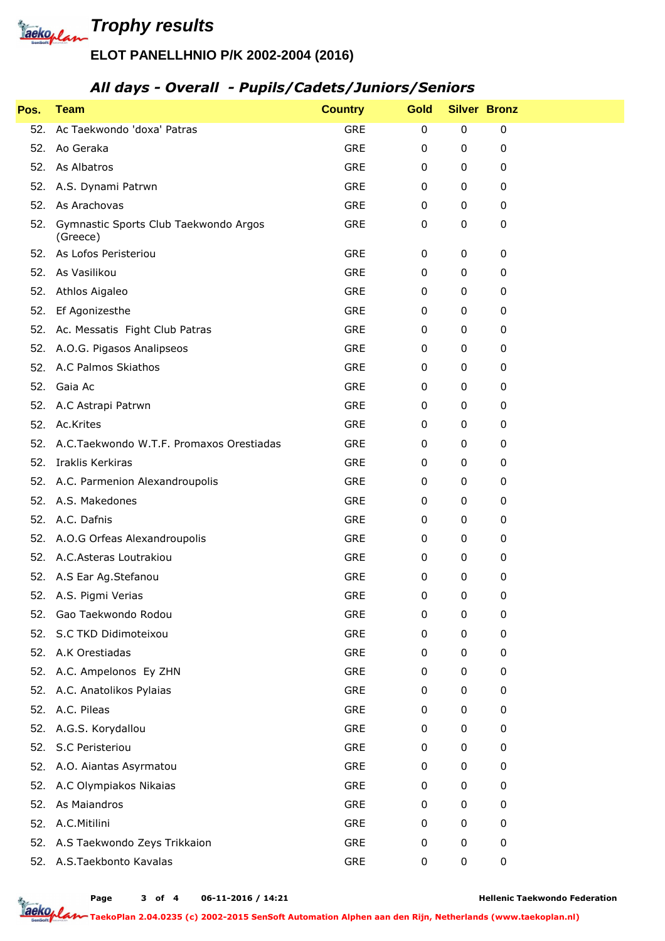

## **ELOT PANELLHNIO P/K 2002-2004 (2016)**

#### *All days - Overall - Pupils/Cadets/Juniors/Seniors*

| Pos. | <b>Team</b>                                       | <b>Country</b> | <b>Gold</b> | <b>Silver Bronz</b> |   |  |
|------|---------------------------------------------------|----------------|-------------|---------------------|---|--|
| 52.  | Ac Taekwondo 'doxa' Patras                        | <b>GRE</b>     | $\pmb{0}$   | $\pmb{0}$           | 0 |  |
| 52.  | Ao Geraka                                         | <b>GRE</b>     | 0           | $\pmb{0}$           | 0 |  |
| 52.  | As Albatros                                       | <b>GRE</b>     | 0           | 0                   | 0 |  |
| 52.  | A.S. Dynami Patrwn                                | GRE            | 0           | 0                   | 0 |  |
| 52.  | As Arachovas                                      | <b>GRE</b>     | 0           | 0                   | 0 |  |
| 52.  | Gymnastic Sports Club Taekwondo Argos<br>(Greece) | GRE            | 0           | $\pmb{0}$           | 0 |  |
| 52.  | As Lofos Peristeriou                              | <b>GRE</b>     | 0           | 0                   | 0 |  |
| 52.  | As Vasilikou                                      | <b>GRE</b>     | 0           | 0                   | 0 |  |
| 52.  | Athlos Aigaleo                                    | GRE            | 0           | 0                   | 0 |  |
| 52.  | Ef Agonizesthe                                    | <b>GRE</b>     | 0           | 0                   | 0 |  |
| 52.  | Ac. Messatis Fight Club Patras                    | <b>GRE</b>     | 0           | 0                   | 0 |  |
| 52.  | A.O.G. Pigasos Analipseos                         | <b>GRE</b>     | 0           | 0                   | 0 |  |
| 52.  | A.C Palmos Skiathos                               | <b>GRE</b>     | 0           | 0                   | 0 |  |
| 52.  | Gaia Ac                                           | <b>GRE</b>     | 0           | 0                   | 0 |  |
| 52.  | A.C Astrapi Patrwn                                | GRE            | 0           | 0                   | 0 |  |
| 52.  | Ac.Krites                                         | GRE            | 0           | 0                   | 0 |  |
| 52.  | A.C.Taekwondo W.T.F. Promaxos Orestiadas          | <b>GRE</b>     | 0           | 0                   | 0 |  |
| 52.  | Iraklis Kerkiras                                  | <b>GRE</b>     | 0           | 0                   | 0 |  |
|      | 52. A.C. Parmenion Alexandroupolis                | <b>GRE</b>     | 0           | 0                   | 0 |  |
| 52.  | A.S. Makedones                                    | <b>GRE</b>     | 0           | 0                   | 0 |  |
| 52.  | A.C. Dafnis                                       | GRE            | 0           | 0                   | 0 |  |
|      | 52. A.O.G Orfeas Alexandroupolis                  | <b>GRE</b>     | 0           | 0                   | 0 |  |
|      | 52. A.C.Asteras Loutrakiou                        | GRE            | 0           | 0                   | 0 |  |
|      | 52. A.S Ear Ag.Stefanou                           | GRE            | 0           | 0                   | 0 |  |
|      | 52. A.S. Pigmi Verias                             | <b>GRE</b>     | 0           | 0                   | 0 |  |
|      | 52. Gao Taekwondo Rodou                           | <b>GRE</b>     | 0           | 0                   | 0 |  |
|      | 52. S.C TKD Didimoteixou                          | GRE            | 0           | 0                   | 0 |  |
| 52.  | A.K Orestiadas                                    | GRE            | 0           | 0                   | 0 |  |
| 52.  | A.C. Ampelonos Ey ZHN                             | GRE            | 0           | 0                   | 0 |  |
| 52.  | A.C. Anatolikos Pylaias                           | <b>GRE</b>     | 0           | 0                   | 0 |  |
| 52.  | A.C. Pileas                                       | <b>GRE</b>     | 0           | 0                   | 0 |  |
| 52.  | A.G.S. Korydallou                                 | GRE            | 0           | 0                   | 0 |  |
| 52.  | S.C Peristeriou                                   | GRE            | 0           | 0                   | 0 |  |
| 52.  | A.O. Aiantas Asyrmatou                            | GRE            | 0           | 0                   | 0 |  |
| 52.  | A.C Olympiakos Nikaias                            | GRE            | 0           | 0                   | 0 |  |
| 52.  | As Maiandros                                      | <b>GRE</b>     | 0           | 0                   | 0 |  |
| 52.  | A.C.Mitilini                                      | GRE            | 0           | 0                   | 0 |  |
| 52.  | A.S Taekwondo Zeys Trikkaion                      | <b>GRE</b>     | 0           | 0                   | 0 |  |
| 52.  | A.S.Taekbonto Kavalas                             | <b>GRE</b>     | 0           | 0                   | 0 |  |

**Page of 4 06-11-2016 / 14:21 3**

**Hellenic Taekwondo Federation**